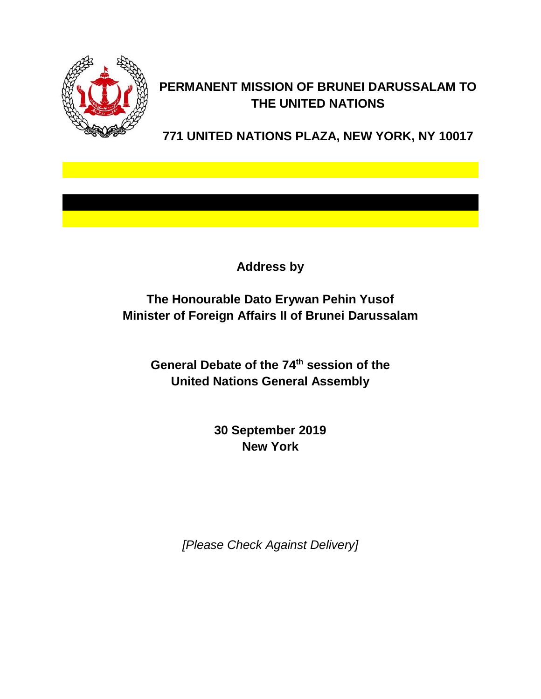

## **PERMANENT MISSION OF BRUNEI DARUSSALAM TO THE UNITED NATIONS**

**771 UNITED NATIONS PLAZA, NEW YORK, NY 10017**

**Address by**

**The Honourable Dato Erywan Pehin Yusof Minister of Foreign Affairs II of Brunei Darussalam**

> General Debate of the 74<sup>th</sup> session of the **United Nations General Assembly**

> > **30 September 2019 New York**

*[Please Check Against Delivery]*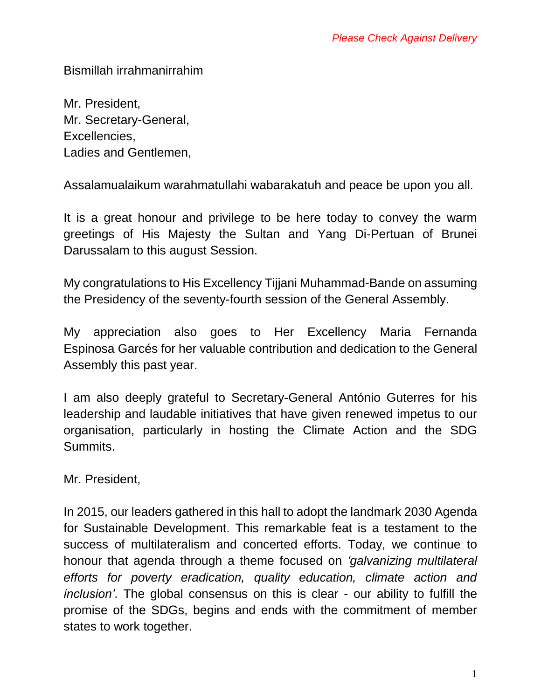Bismillah irrahmanirrahim

Mr. President, Mr. Secretary-General, Excellencies, Ladies and Gentlemen,

Assalamualaikum warahmatullahi wabarakatuh and peace be upon you all.

It is a great honour and privilege to be here today to convey the warm greetings of His Majesty the Sultan and Yang Di-Pertuan of Brunei Darussalam to this august Session.

My congratulations to His Excellency Tijjani Muhammad-Bande on assuming the Presidency of the seventy-fourth session of the General Assembly.

My appreciation also goes to Her Excellency Maria Fernanda Espinosa Garcés for her valuable contribution and dedication to the General Assembly this past year.

I am also deeply grateful to Secretary-General António Guterres for his leadership and laudable initiatives that have given renewed impetus to our organisation, particularly in hosting the Climate Action and the SDG Summits.

Mr. President,

In 2015, our leaders gathered in this hall to adopt the landmark 2030 Agenda for Sustainable Development. This remarkable feat is a testament to the success of multilateralism and concerted efforts. Today, we continue to honour that agenda through a theme focused on *'galvanizing multilateral efforts for poverty eradication, quality education, climate action and inclusion'*. The global consensus on this is clear - our ability to fulfill the promise of the SDGs, begins and ends with the commitment of member states to work together.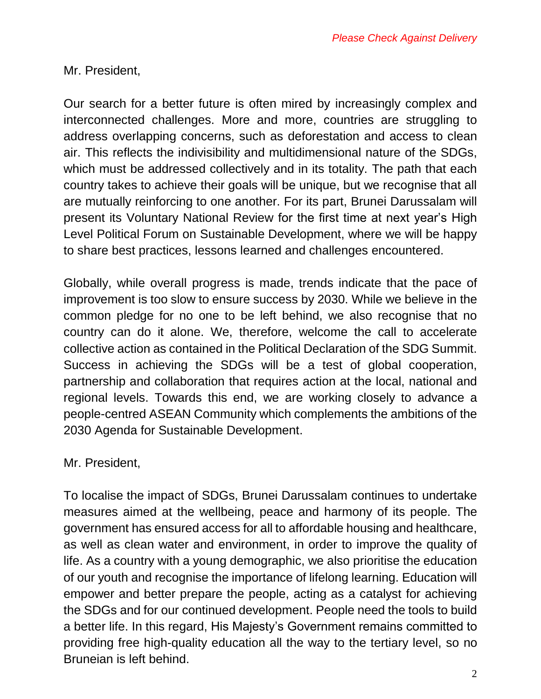Mr. President,

Our search for a better future is often mired by increasingly complex and interconnected challenges. More and more, countries are struggling to address overlapping concerns, such as deforestation and access to clean air. This reflects the indivisibility and multidimensional nature of the SDGs, which must be addressed collectively and in its totality. The path that each country takes to achieve their goals will be unique, but we recognise that all are mutually reinforcing to one another. For its part, Brunei Darussalam will present its Voluntary National Review for the first time at next year's High Level Political Forum on Sustainable Development, where we will be happy to share best practices, lessons learned and challenges encountered.

Globally, while overall progress is made, trends indicate that the pace of improvement is too slow to ensure success by 2030. While we believe in the common pledge for no one to be left behind, we also recognise that no country can do it alone. We, therefore, welcome the call to accelerate collective action as contained in the Political Declaration of the SDG Summit. Success in achieving the SDGs will be a test of global cooperation, partnership and collaboration that requires action at the local, national and regional levels. Towards this end, we are working closely to advance a people-centred ASEAN Community which complements the ambitions of the 2030 Agenda for Sustainable Development.

## Mr. President,

To localise the impact of SDGs, Brunei Darussalam continues to undertake measures aimed at the wellbeing, peace and harmony of its people. The government has ensured access for all to affordable housing and healthcare, as well as clean water and environment, in order to improve the quality of life. As a country with a young demographic, we also prioritise the education of our youth and recognise the importance of lifelong learning. Education will empower and better prepare the people, acting as a catalyst for achieving the SDGs and for our continued development. People need the tools to build a better life. In this regard, His Majesty's Government remains committed to providing free high-quality education all the way to the tertiary level, so no Bruneian is left behind.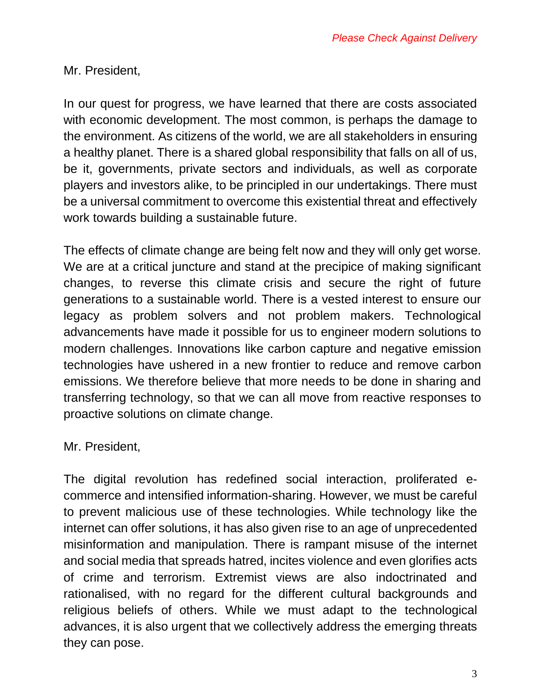Mr. President,

In our quest for progress, we have learned that there are costs associated with economic development. The most common, is perhaps the damage to the environment. As citizens of the world, we are all stakeholders in ensuring a healthy planet. There is a shared global responsibility that falls on all of us, be it, governments, private sectors and individuals, as well as corporate players and investors alike, to be principled in our undertakings. There must be a universal commitment to overcome this existential threat and effectively work towards building a sustainable future.

The effects of climate change are being felt now and they will only get worse. We are at a critical juncture and stand at the precipice of making significant changes, to reverse this climate crisis and secure the right of future generations to a sustainable world. There is a vested interest to ensure our legacy as problem solvers and not problem makers. Technological advancements have made it possible for us to engineer modern solutions to modern challenges. Innovations like carbon capture and negative emission technologies have ushered in a new frontier to reduce and remove carbon emissions. We therefore believe that more needs to be done in sharing and transferring technology, so that we can all move from reactive responses to proactive solutions on climate change.

## Mr. President,

The digital revolution has redefined social interaction, proliferated ecommerce and intensified information-sharing. However, we must be careful to prevent malicious use of these technologies. While technology like the internet can offer solutions, it has also given rise to an age of unprecedented misinformation and manipulation. There is rampant misuse of the internet and social media that spreads hatred, incites violence and even glorifies acts of crime and terrorism. Extremist views are also indoctrinated and rationalised, with no regard for the different cultural backgrounds and religious beliefs of others. While we must adapt to the technological advances, it is also urgent that we collectively address the emerging threats they can pose.